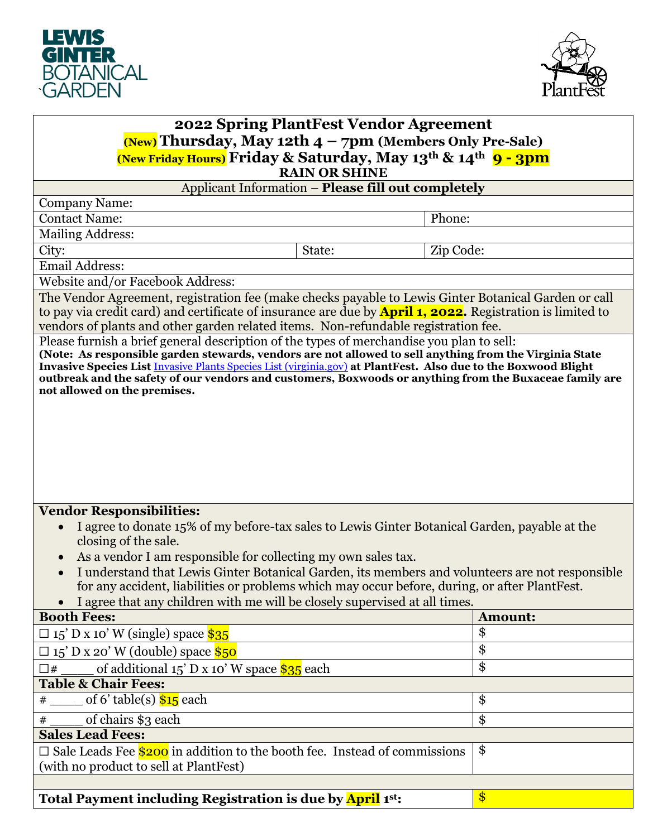



| 2022 Spring PlantFest Vendor Agreement<br>$(New)$ Thursday, May 12th $4 - 7$ pm (Members Only Pre-Sale)<br>(New Friday Hours) Friday & Saturday, May 13 <sup>th</sup> & 14 <sup>th</sup> 9 - 3pm                                                                                                                                                                                                                                                                                                                         |                |  |
|--------------------------------------------------------------------------------------------------------------------------------------------------------------------------------------------------------------------------------------------------------------------------------------------------------------------------------------------------------------------------------------------------------------------------------------------------------------------------------------------------------------------------|----------------|--|
| <b>RAIN OR SHINE</b>                                                                                                                                                                                                                                                                                                                                                                                                                                                                                                     |                |  |
| Applicant Information - Please fill out completely                                                                                                                                                                                                                                                                                                                                                                                                                                                                       |                |  |
| <b>Company Name:</b>                                                                                                                                                                                                                                                                                                                                                                                                                                                                                                     |                |  |
| <b>Contact Name:</b><br>Phone:                                                                                                                                                                                                                                                                                                                                                                                                                                                                                           |                |  |
| <b>Mailing Address:</b>                                                                                                                                                                                                                                                                                                                                                                                                                                                                                                  |                |  |
| City:<br>State:<br>Zip Code:                                                                                                                                                                                                                                                                                                                                                                                                                                                                                             |                |  |
| <b>Email Address:</b>                                                                                                                                                                                                                                                                                                                                                                                                                                                                                                    |                |  |
| Website and/or Facebook Address:                                                                                                                                                                                                                                                                                                                                                                                                                                                                                         |                |  |
| The Vendor Agreement, registration fee (make checks payable to Lewis Ginter Botanical Garden or call<br>to pay via credit card) and certificate of insurance are due by <b>April 1, 2022.</b> Registration is limited to<br>vendors of plants and other garden related items. Non-refundable registration fee.                                                                                                                                                                                                           |                |  |
| Please furnish a brief general description of the types of merchandise you plan to sell:<br>(Note: As responsible garden stewards, vendors are not allowed to sell anything from the Virginia State<br>Invasive Species List <i>Invasive Plants Species List (virginia.gov)</i> at PlantFest. Also due to the Boxwood Blight<br>outbreak and the safety of our vendors and customers, Boxwoods or anything from the Buxaceae family are<br>not allowed on the premises.                                                  |                |  |
| <b>Vendor Responsibilities:</b><br>I agree to donate 15% of my before-tax sales to Lewis Ginter Botanical Garden, payable at the<br>closing of the sale.<br>As a vendor I am responsible for collecting my own sales tax.<br>$\bullet$<br>I understand that Lewis Ginter Botanical Garden, its members and volunteers are not responsible<br>for any accident, liabilities or problems which may occur before, during, or after PlantFest.<br>I agree that any children with me will be closely supervised at all times. |                |  |
| <b>Booth Fees:</b>                                                                                                                                                                                                                                                                                                                                                                                                                                                                                                       | <b>Amount:</b> |  |
| $\square$ 15' D x 10' W (single) space \$35                                                                                                                                                                                                                                                                                                                                                                                                                                                                              | \$             |  |
| $\square$ 15' D x 20' W (double) space \$50                                                                                                                                                                                                                                                                                                                                                                                                                                                                              | \$             |  |
| of additional $15'$ D x 10' W space $\$35$ each<br>$\square$ #                                                                                                                                                                                                                                                                                                                                                                                                                                                           | \$             |  |
| <b>Table &amp; Chair Fees:</b>                                                                                                                                                                                                                                                                                                                                                                                                                                                                                           |                |  |
| of 6' table(s) $$15$ each<br>#                                                                                                                                                                                                                                                                                                                                                                                                                                                                                           | \$             |  |
| of chairs \$3 each<br>#                                                                                                                                                                                                                                                                                                                                                                                                                                                                                                  | \$             |  |
| <b>Sales Lead Fees:</b>                                                                                                                                                                                                                                                                                                                                                                                                                                                                                                  |                |  |
| $\Box$ Sale Leads Fee $\$$ 200 in addition to the booth fee. Instead of commissions<br>(with no product to sell at PlantFest)                                                                                                                                                                                                                                                                                                                                                                                            | \$             |  |
| Total Payment including Registration is due by April 1st:                                                                                                                                                                                                                                                                                                                                                                                                                                                                | $\frac{1}{2}$  |  |